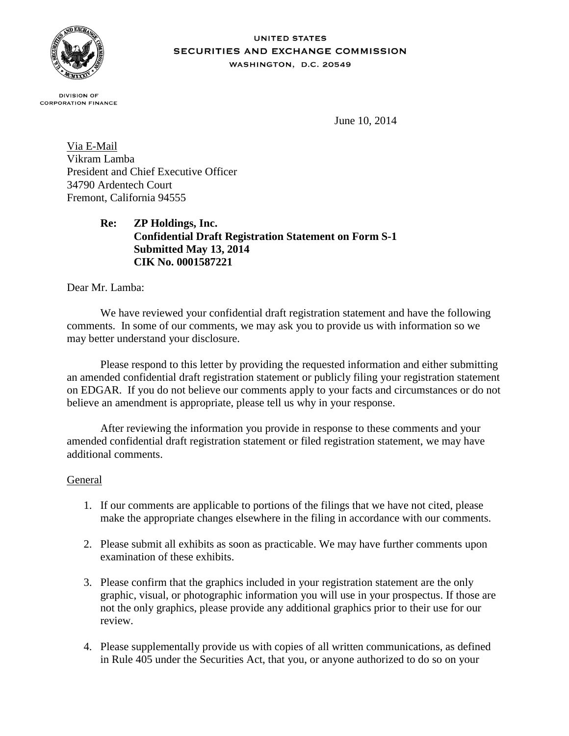

#### **UNITED STATES** SECURITIES AND EXCHANGE COMMISSION WASHINGTON, D.C. 20549

**DIVISION OF CORPORATION FINANCE** 

June 10, 2014

Via E-Mail Vikram Lamba President and Chief Executive Officer 34790 Ardentech Court Fremont, California 94555

> **Re: ZP Holdings, Inc. Confidential Draft Registration Statement on Form S-1 Submitted May 13, 2014 CIK No. 0001587221**

Dear Mr. Lamba:

We have reviewed your confidential draft registration statement and have the following comments. In some of our comments, we may ask you to provide us with information so we may better understand your disclosure.

Please respond to this letter by providing the requested information and either submitting an amended confidential draft registration statement or publicly filing your registration statement on EDGAR. If you do not believe our comments apply to your facts and circumstances or do not believe an amendment is appropriate, please tell us why in your response.

After reviewing the information you provide in response to these comments and your amended confidential draft registration statement or filed registration statement, we may have additional comments.

#### General

- 1. If our comments are applicable to portions of the filings that we have not cited, please make the appropriate changes elsewhere in the filing in accordance with our comments.
- 2. Please submit all exhibits as soon as practicable. We may have further comments upon examination of these exhibits.
- 3. Please confirm that the graphics included in your registration statement are the only graphic, visual, or photographic information you will use in your prospectus. If those are not the only graphics, please provide any additional graphics prior to their use for our review.
- 4. Please supplementally provide us with copies of all written communications, as defined in Rule 405 under the Securities Act, that you, or anyone authorized to do so on your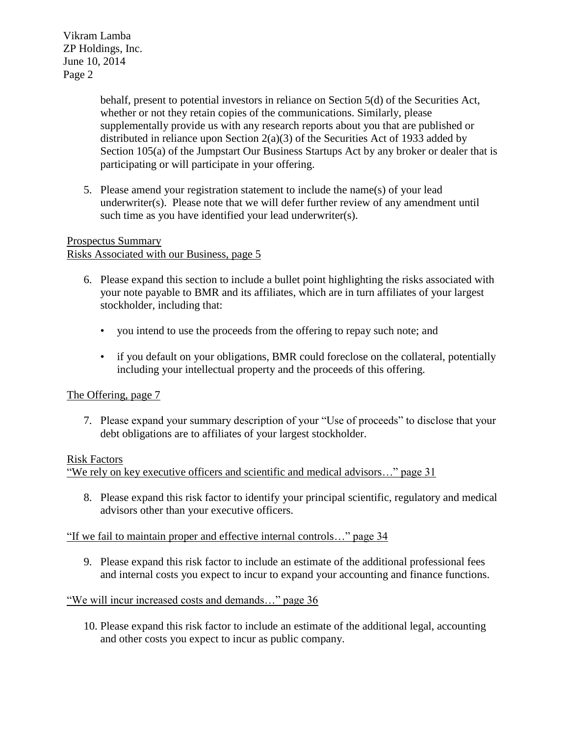> behalf, present to potential investors in reliance on Section 5(d) of the Securities Act, whether or not they retain copies of the communications. Similarly, please supplementally provide us with any research reports about you that are published or distributed in reliance upon Section 2(a)(3) of the Securities Act of 1933 added by Section 105(a) of the Jumpstart Our Business Startups Act by any broker or dealer that is participating or will participate in your offering.

5. Please amend your registration statement to include the name(s) of your lead underwriter(s). Please note that we will defer further review of any amendment until such time as you have identified your lead underwriter(s).

# Prospectus Summary

# Risks Associated with our Business, page 5

- 6. Please expand this section to include a bullet point highlighting the risks associated with your note payable to BMR and its affiliates, which are in turn affiliates of your largest stockholder, including that:
	- you intend to use the proceeds from the offering to repay such note; and
	- if you default on your obligations, BMR could foreclose on the collateral, potentially including your intellectual property and the proceeds of this offering.

# The Offering, page 7

7. Please expand your summary description of your "Use of proceeds" to disclose that your debt obligations are to affiliates of your largest stockholder.

## Risk Factors

"We rely on key executive officers and scientific and medical advisors…" page 31

8. Please expand this risk factor to identify your principal scientific, regulatory and medical advisors other than your executive officers.

## "If we fail to maintain proper and effective internal controls…" page 34

9. Please expand this risk factor to include an estimate of the additional professional fees and internal costs you expect to incur to expand your accounting and finance functions.

# "We will incur increased costs and demands..." page 36

10. Please expand this risk factor to include an estimate of the additional legal, accounting and other costs you expect to incur as public company.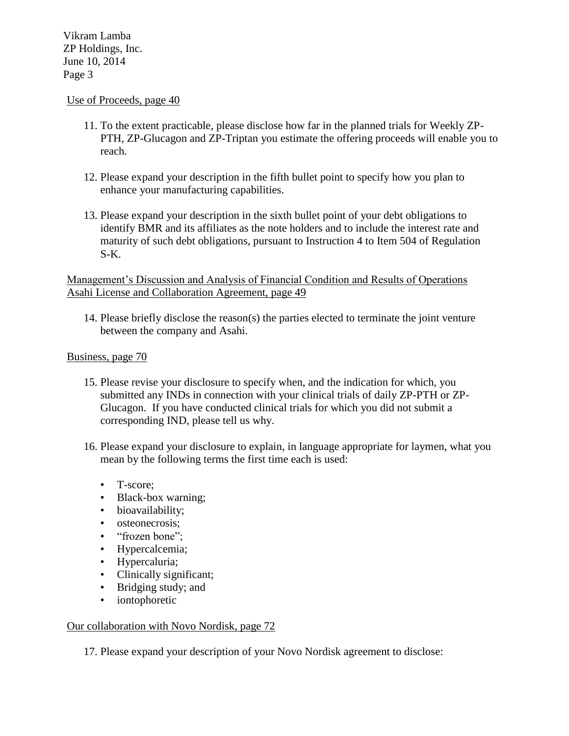#### Use of Proceeds, page 40

- 11. To the extent practicable, please disclose how far in the planned trials for Weekly ZP-PTH, ZP-Glucagon and ZP-Triptan you estimate the offering proceeds will enable you to reach.
- 12. Please expand your description in the fifth bullet point to specify how you plan to enhance your manufacturing capabilities.
- 13. Please expand your description in the sixth bullet point of your debt obligations to identify BMR and its affiliates as the note holders and to include the interest rate and maturity of such debt obligations, pursuant to Instruction 4 to Item 504 of Regulation S-K.

### Management's Discussion and Analysis of Financial Condition and Results of Operations Asahi License and Collaboration Agreement, page 49

14. Please briefly disclose the reason(s) the parties elected to terminate the joint venture between the company and Asahi.

#### Business, page 70

- 15. Please revise your disclosure to specify when, and the indication for which, you submitted any INDs in connection with your clinical trials of daily ZP-PTH or ZP-Glucagon. If you have conducted clinical trials for which you did not submit a corresponding IND, please tell us why.
- 16. Please expand your disclosure to explain, in language appropriate for laymen, what you mean by the following terms the first time each is used:
	- T-score;
	- Black-box warning;
	- bioavailability;
	- osteonecrosis;
	- "frozen bone";
	- Hypercalcemia;
	- Hypercaluria;
	- Clinically significant;
	- Bridging study; and
	- iontophoretic

#### Our collaboration with Novo Nordisk, page 72

17. Please expand your description of your Novo Nordisk agreement to disclose: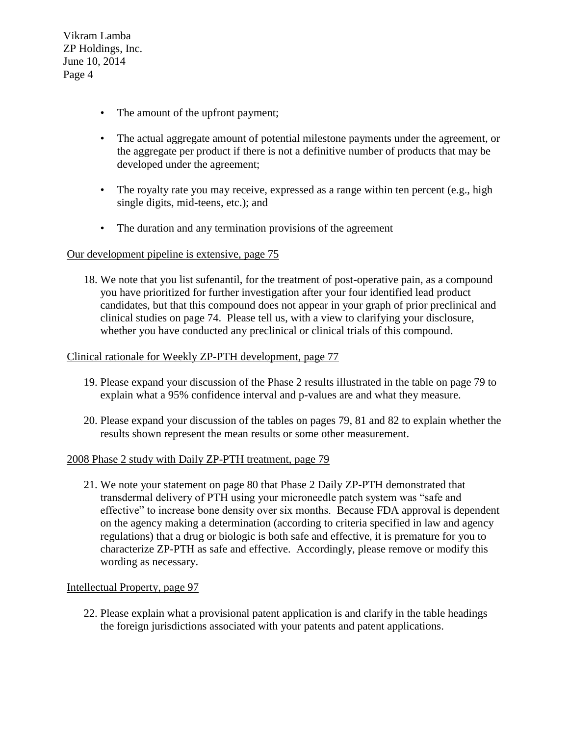- The amount of the upfront payment;
- The actual aggregate amount of potential milestone payments under the agreement, or the aggregate per product if there is not a definitive number of products that may be developed under the agreement;
- The royalty rate you may receive, expressed as a range within ten percent (e.g., high single digits, mid-teens, etc.); and
- The duration and any termination provisions of the agreement

#### Our development pipeline is extensive, page 75

18. We note that you list sufenantil, for the treatment of post-operative pain, as a compound you have prioritized for further investigation after your four identified lead product candidates, but that this compound does not appear in your graph of prior preclinical and clinical studies on page 74. Please tell us, with a view to clarifying your disclosure, whether you have conducted any preclinical or clinical trials of this compound.

#### Clinical rationale for Weekly ZP-PTH development, page 77

- 19. Please expand your discussion of the Phase 2 results illustrated in the table on page 79 to explain what a 95% confidence interval and p-values are and what they measure.
- 20. Please expand your discussion of the tables on pages 79, 81 and 82 to explain whether the results shown represent the mean results or some other measurement.

#### 2008 Phase 2 study with Daily ZP-PTH treatment, page 79

21. We note your statement on page 80 that Phase 2 Daily ZP-PTH demonstrated that transdermal delivery of PTH using your microneedle patch system was "safe and effective" to increase bone density over six months. Because FDA approval is dependent on the agency making a determination (according to criteria specified in law and agency regulations) that a drug or biologic is both safe and effective, it is premature for you to characterize ZP-PTH as safe and effective. Accordingly, please remove or modify this wording as necessary.

## Intellectual Property, page 97

22. Please explain what a provisional patent application is and clarify in the table headings the foreign jurisdictions associated with your patents and patent applications.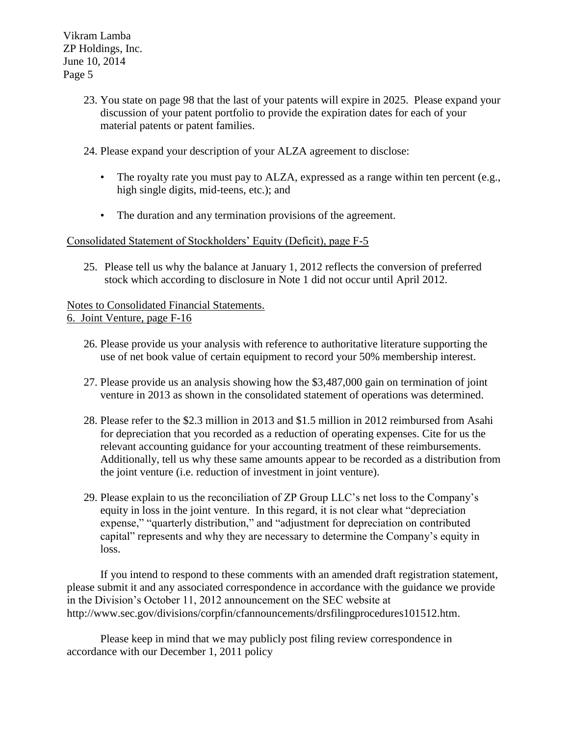- 23. You state on page 98 that the last of your patents will expire in 2025. Please expand your discussion of your patent portfolio to provide the expiration dates for each of your material patents or patent families.
- 24. Please expand your description of your ALZA agreement to disclose:
	- The royalty rate you must pay to ALZA, expressed as a range within ten percent (e.g., high single digits, mid-teens, etc.); and
	- The duration and any termination provisions of the agreement.

## Consolidated Statement of Stockholders' Equity (Deficit), page F-5

25. Please tell us why the balance at January 1, 2012 reflects the conversion of preferred stock which according to disclosure in Note 1 did not occur until April 2012.

# Notes to Consolidated Financial Statements.

6. Joint Venture, page F-16

- 26. Please provide us your analysis with reference to authoritative literature supporting the use of net book value of certain equipment to record your 50% membership interest.
- 27. Please provide us an analysis showing how the \$3,487,000 gain on termination of joint venture in 2013 as shown in the consolidated statement of operations was determined.
- 28. Please refer to the \$2.3 million in 2013 and \$1.5 million in 2012 reimbursed from Asahi for depreciation that you recorded as a reduction of operating expenses. Cite for us the relevant accounting guidance for your accounting treatment of these reimbursements. Additionally, tell us why these same amounts appear to be recorded as a distribution from the joint venture (i.e. reduction of investment in joint venture).
- 29. Please explain to us the reconciliation of ZP Group LLC's net loss to the Company's equity in loss in the joint venture. In this regard, it is not clear what "depreciation expense," "quarterly distribution," and "adjustment for depreciation on contributed capital" represents and why they are necessary to determine the Company's equity in loss.

If you intend to respond to these comments with an amended draft registration statement, please submit it and any associated correspondence in accordance with the guidance we provide in the Division's October 11, 2012 announcement on the SEC website at http://www.sec.gov/divisions/corpfin/cfannouncements/drsfilingprocedures101512.htm.

Please keep in mind that we may publicly post filing review correspondence in accordance with our December 1, 2011 policy